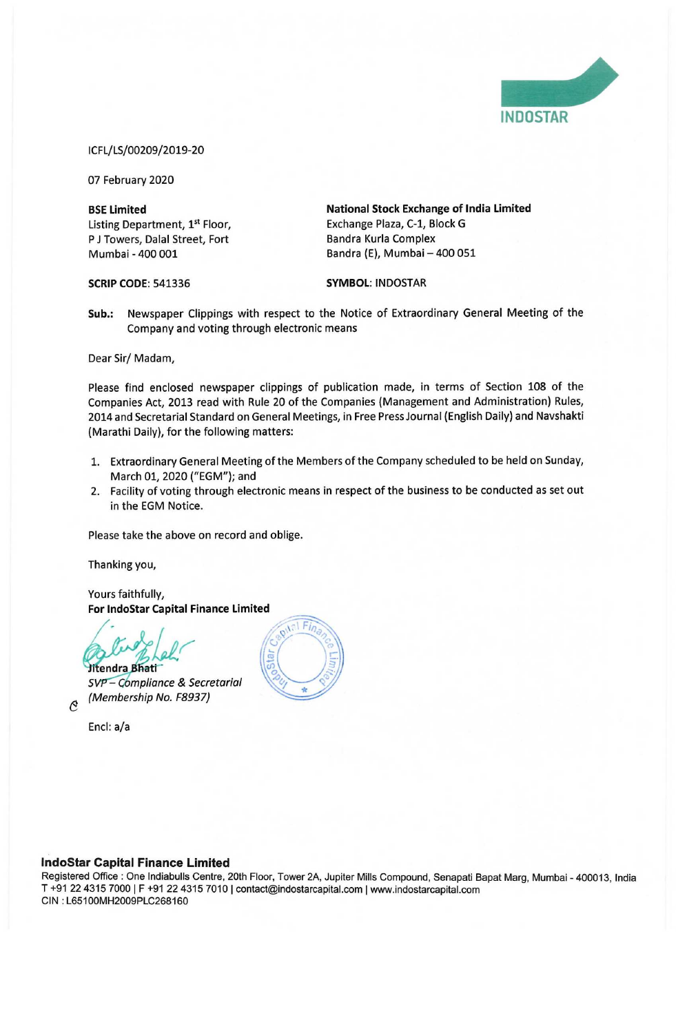

ICFL/LS/00209/2019-20

07 February 2020

Listing Department, 1<sup>st</sup> Floor, Exchange Plaza, C-1, Block G P J Towers, Dalal Street, Fort Bandra Kurla Complex

BSE Limited **National Stock Exchange of India Limited** Mumbai - 400 001 Bandra (E), Mumbai — 400 051

SCRIP CODE: 541336 SYMBOL: INDOSTAR

Sub.: Newspaper Clippings with respect to the Notice of Extraordinary General Meeting of the Company and voting through electronic means

Dear Sir/ Madam,

Please find enclosed newspaper clippings of publication made, in terms of Section 108 of the Companies Act, 2013 read with Rule 20 of the Companies (Management and Administration) Rules, 2014 and Secretarial Standard on General Meetings, in Free Press Journal (English Daily) and Navshakti (Marathi Daily), for the following matters:

- 1. Extraordinary General Meeting of the Members of the Company scheduled to be held on Sunday, March 01, 2020 ("EGM"); and
- 2. Facility of voting through electronic means in respect of the business to be conducted as set out in the EGM Notice.

Please take the above on record and oblige.

Thanking you,

Yours faithfully, For IndoStar Capital Finance Limited

Leb Jitendra Bhati  $SVP-C$ ompliance & Secretarial  $\sim$ 

Encl: a/a

 $\mathcal{C}$ 

## IndoStar Capital Finance Limited

Registered Office : One Indiabulls Centre, 20th Floor, Tower 2A, Jupiter Mills Compound, Senapati Bapat Marg, Mumbai - 400013, India T +91 22 4315 7000 | F +91 22 4315 7010 | contact@indostarcapital.com | www. indostarcapital.com CIN : L65100MH2009PLC268160

 $Fi$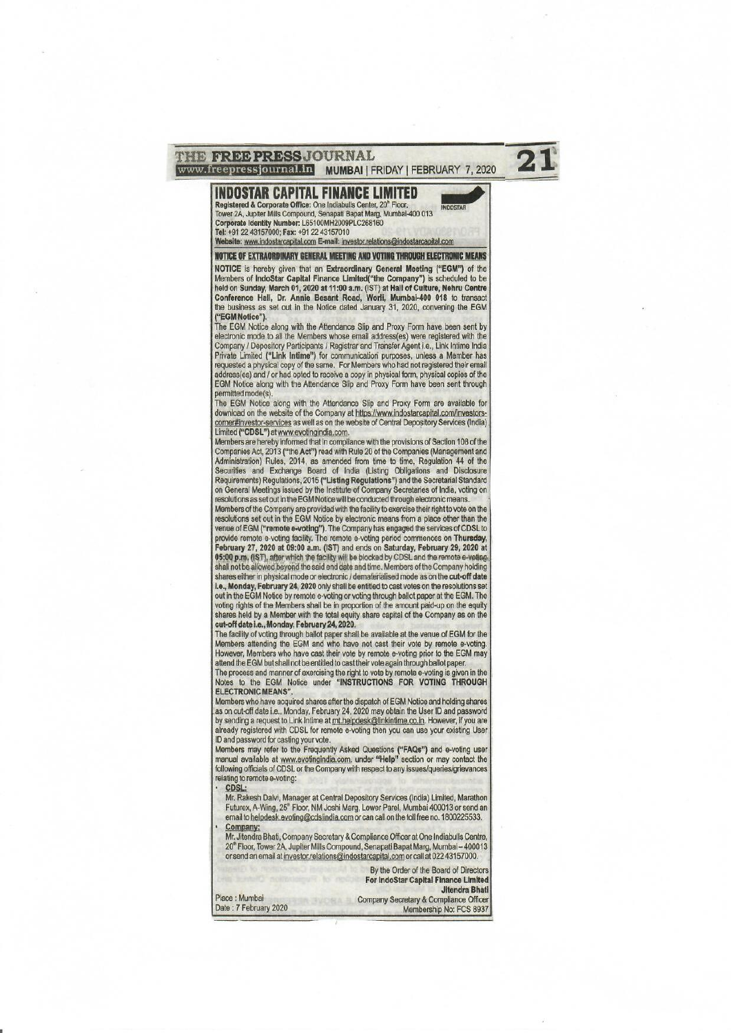